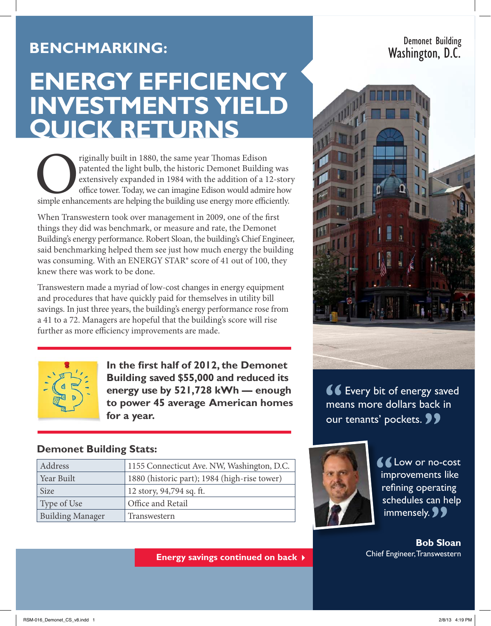## **Benchmarking:**

# **ENERGY EFFICIENCY INVESTMENTS YIELD QUICK RETURNS**

Triginally built in 1880, the same year Thomas Edison patented the light bulb, the historic Demonet Building was extensively expanded in 1984 with the addition of a 12-stor office tower. Today, we can imagine Edison would patented the light bulb, the historic Demonet Building was extensively expanded in 1984 with the addition of a 12-story office tower. Today, we can imagine Edison would admire how

When Transwestern took over management in 2009, one of the first things they did was benchmark, or measure and rate, the Demonet Building's energy performance. Robert Sloan, the building's Chief Engineer, said benchmarking helped them see just how much energy the building was consuming. With an ENERGY STAR<sup>®</sup> score of 41 out of 100, they knew there was work to be done.

Transwestern made a myriad of low-cost changes in energy equipment and procedures that have quickly paid for themselves in utility bill savings. In just three years, the building's energy performance rose from a 41 to a 72. Managers are hopeful that the building's score will rise further as more efficiency improvements are made.



**In the first half of 2012, the Demonet Building saved \$55,000 and reduced its energy use by 521,728 kWh — enough to power 45 average American homes for a year.**

#### **Demonet Building Stats:**

| Address                 | 1155 Connecticut Ave. NW, Washington, D.C.   |
|-------------------------|----------------------------------------------|
| Year Built              | 1880 (historic part); 1984 (high-rise tower) |
| <b>Size</b>             | 12 story, 94,794 sq. ft.                     |
| Type of Use             | Office and Retail                            |
| <b>Building Manager</b> | Transwestern                                 |

**Energy savings continued on back** 



Demonet Building

Washington, D.C.

**66** Every bit of energy saved means more dollars back in our tenants' pockets. **99** 



**LE** Low or no-cost improvements like refining operating schedules can help immensely. **99** 

**Bob Sloan**  Chief Engineer, Transwestern